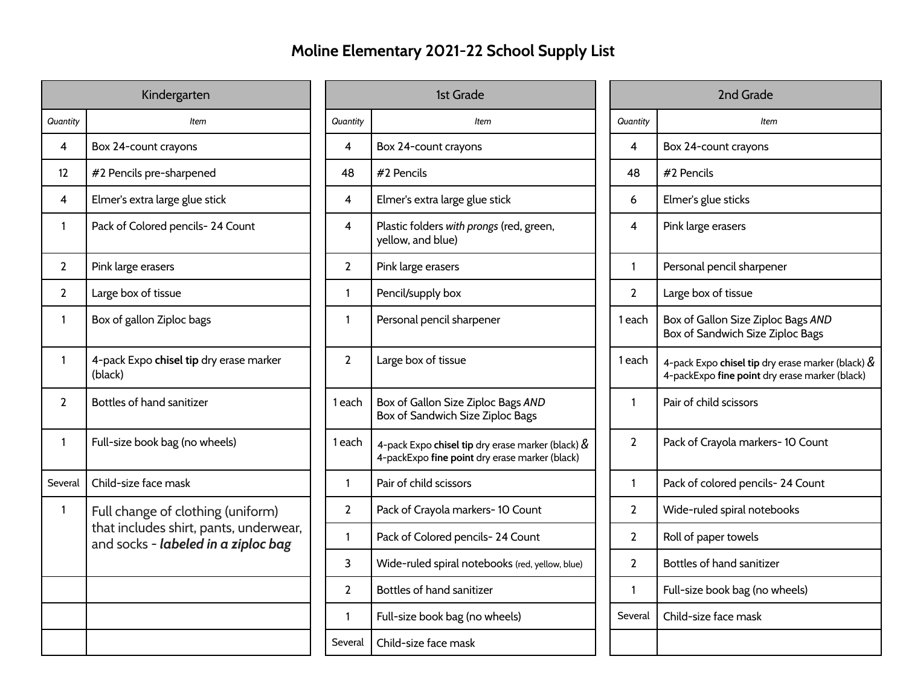## **Moline Elementary 2021-22 School Supply List**

| Kindergarten   |                                                                               | 1st Grade      |                                                                                                        |  | 2nd Grade      |                                                                         |  |
|----------------|-------------------------------------------------------------------------------|----------------|--------------------------------------------------------------------------------------------------------|--|----------------|-------------------------------------------------------------------------|--|
| Quantity       | <b>Item</b>                                                                   | Quantity       | Item                                                                                                   |  | Quantity       | <b>Item</b>                                                             |  |
| 4              | Box 24-count crayons                                                          | 4              | Box 24-count crayons                                                                                   |  | 4              | Box 24-count crayons                                                    |  |
| 12             | #2 Pencils pre-sharpened                                                      | 48             | #2 Pencils                                                                                             |  | 48             | #2 Pencils                                                              |  |
| 4              | Elmer's extra large glue stick                                                | 4              | Elmer's extra large glue stick                                                                         |  | 6              | Elmer's glue sticks                                                     |  |
| $\mathbf{1}$   | Pack of Colored pencils-24 Count                                              | 4              | Plastic folders with prongs (red, green,<br>yellow, and blue)                                          |  | 4              | Pink large erasers                                                      |  |
| $\overline{2}$ | Pink large erasers                                                            | $\mathbf{2}$   | Pink large erasers                                                                                     |  | 1              | Personal pencil sharpener                                               |  |
| $\overline{2}$ | Large box of tissue                                                           | $\mathbf{1}$   | Pencil/supply box                                                                                      |  | $\overline{2}$ | Large box of tissue                                                     |  |
| $\mathbf{1}$   | Box of gallon Ziploc bags                                                     | $\mathbf{1}$   | Personal pencil sharpener                                                                              |  | 1 each         | Box of Gallon Size Ziploc Bags<br>Box of Sandwich Size Ziploc B         |  |
| 1              | 4-pack Expo chisel tip dry erase marker<br>(black)                            | $\overline{2}$ | Large box of tissue                                                                                    |  | 1 each         | 4-pack Expo chisel tip dry erase n<br>4-packExpo fine point dry erase r |  |
| $\overline{2}$ | Bottles of hand sanitizer                                                     | 1 each         | Box of Gallon Size Ziploc Bags AND<br>Box of Sandwich Size Ziploc Bags                                 |  | 1              | Pair of child scissors                                                  |  |
| $\mathbf{1}$   | Full-size book bag (no wheels)                                                | 1 each         | 4-pack Expo chisel tip dry erase marker (black) $\&$<br>4-packExpo fine point dry erase marker (black) |  | $\overline{2}$ | Pack of Crayola markers-10 Co                                           |  |
| Several        | Child-size face mask                                                          | $\mathbf{1}$   | Pair of child scissors                                                                                 |  | 1              | Pack of colored pencils-24 Co                                           |  |
| $\mathbf{1}$   | Full change of clothing (uniform)                                             | $\overline{2}$ | Pack of Crayola markers-10 Count                                                                       |  | $\overline{2}$ | Wide-ruled spiral notebooks                                             |  |
|                | that includes shirt, pants, underwear,<br>and socks - labeled in a ziploc bag | $\mathbf{1}$   | Pack of Colored pencils- 24 Count                                                                      |  | $\overline{2}$ | Roll of paper towels                                                    |  |
|                |                                                                               | 3              | Wide-ruled spiral notebooks (red, yellow, blue)                                                        |  | $\overline{2}$ | Bottles of hand sanitizer                                               |  |
|                |                                                                               | $\overline{2}$ | Bottles of hand sanitizer                                                                              |  | 1              | Full-size book bag (no wheels)                                          |  |
|                |                                                                               | $\mathbf{1}$   | Full-size book bag (no wheels)                                                                         |  | Several        | Child-size face mask                                                    |  |
|                |                                                                               | Several        | Child-size face mask                                                                                   |  |                |                                                                         |  |
|                |                                                                               |                |                                                                                                        |  |                |                                                                         |  |

| 1st Grade      |                                                                                                        |                | 2nd Grade                                                                                              |
|----------------|--------------------------------------------------------------------------------------------------------|----------------|--------------------------------------------------------------------------------------------------------|
| antity         | <b>Item</b>                                                                                            | Quantity       | <b>Item</b>                                                                                            |
| 4              | Box 24-count crayons                                                                                   | 4              | Box 24-count crayons                                                                                   |
| 18             | #2 Pencils                                                                                             | 48             | #2 Pencils                                                                                             |
| 4              | Elmer's extra large glue stick                                                                         | 6              | Elmer's glue sticks                                                                                    |
| 4              | Plastic folders with prongs (red, green,<br>yellow, and blue)                                          | 4              | Pink large erasers                                                                                     |
| 2              | Pink large erasers                                                                                     | 1              | Personal pencil sharpener                                                                              |
| 1              | Pencil/supply box                                                                                      | $\overline{2}$ | Large box of tissue                                                                                    |
| 1              | Personal pencil sharpener                                                                              | 1 each         | Box of Gallon Size Ziploc Bags AND<br>Box of Sandwich Size Ziploc Bags                                 |
| $\overline{2}$ | Large box of tissue                                                                                    | 1 each         | 4-pack Expo chisel tip dry erase marker (black) $\&$<br>4-packExpo fine point dry erase marker (black) |
| ach            | Box of Gallon Size Ziploc Bags AND<br>Box of Sandwich Size Ziploc Bags                                 | 1              | Pair of child scissors                                                                                 |
| ach            | 4-pack Expo chisel tip dry erase marker (black) $\&$<br>4-packExpo fine point dry erase marker (black) | $\overline{2}$ | Pack of Crayola markers-10 Count                                                                       |
| 1              | Pair of child scissors                                                                                 | 1              | Pack of colored pencils-24 Count                                                                       |
| 2              | Pack of Crayola markers-10 Count                                                                       | 2              | Wide-ruled spiral notebooks                                                                            |
| 1              | Pack of Colored pencils- 24 Count                                                                      | 2              | Roll of paper towels                                                                                   |
| 3              | Wide-ruled spiral notebooks (red, yellow, blue)                                                        | $\overline{2}$ | Bottles of hand sanitizer                                                                              |
| 2              | Bottles of hand sanitizer                                                                              | 1              | Full-size book bag (no wheels)                                                                         |
| 1              | Full-size book bag (no wheels)                                                                         | Several        | Child-size face mask                                                                                   |
| veral          | Child-size face mask                                                                                   |                |                                                                                                        |